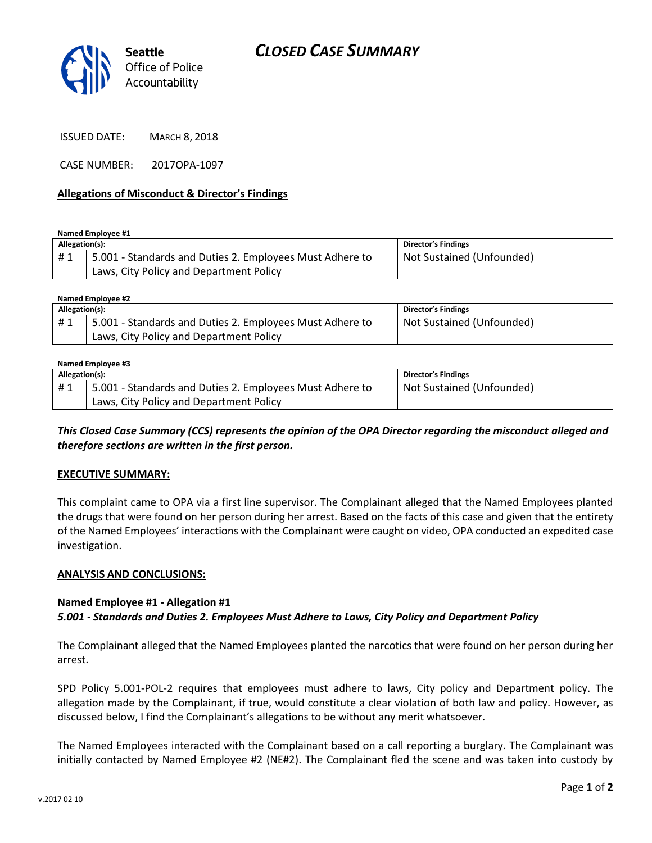

ISSUED DATE: MARCH 8, 2018

CASE NUMBER: 2017OPA-1097

### **Allegations of Misconduct & Director's Findings**

**Named Employee #1**

| Allegation(s): |                                                          | Director's Findings       |
|----------------|----------------------------------------------------------|---------------------------|
| #1             | 5.001 - Standards and Duties 2. Employees Must Adhere to | Not Sustained (Unfounded) |
|                | Laws, City Policy and Department Policy                  |                           |

**Named Employee #2**

| Allegation(s): |                                                          | Director's Findings       |
|----------------|----------------------------------------------------------|---------------------------|
| #1             | 5.001 - Standards and Duties 2. Employees Must Adhere to | Not Sustained (Unfounded) |
|                | Laws, City Policy and Department Policy                  |                           |

#### **Named Employee #3**

| Allegation(s): |                                                          | <b>Director's Findings</b> |
|----------------|----------------------------------------------------------|----------------------------|
| #1             | 5.001 - Standards and Duties 2. Employees Must Adhere to | Not Sustained (Unfounded)  |
|                | Laws, City Policy and Department Policy                  |                            |

*This Closed Case Summary (CCS) represents the opinion of the OPA Director regarding the misconduct alleged and therefore sections are written in the first person.* 

#### **EXECUTIVE SUMMARY:**

This complaint came to OPA via a first line supervisor. The Complainant alleged that the Named Employees planted the drugs that were found on her person during her arrest. Based on the facts of this case and given that the entirety of the Named Employees' interactions with the Complainant were caught on video, OPA conducted an expedited case investigation.

#### **ANALYSIS AND CONCLUSIONS:**

## **Named Employee #1 - Allegation #1** *5.001 - Standards and Duties 2. Employees Must Adhere to Laws, City Policy and Department Policy*

The Complainant alleged that the Named Employees planted the narcotics that were found on her person during her arrest.

SPD Policy 5.001-POL-2 requires that employees must adhere to laws, City policy and Department policy. The allegation made by the Complainant, if true, would constitute a clear violation of both law and policy. However, as discussed below, I find the Complainant's allegations to be without any merit whatsoever.

The Named Employees interacted with the Complainant based on a call reporting a burglary. The Complainant was initially contacted by Named Employee #2 (NE#2). The Complainant fled the scene and was taken into custody by